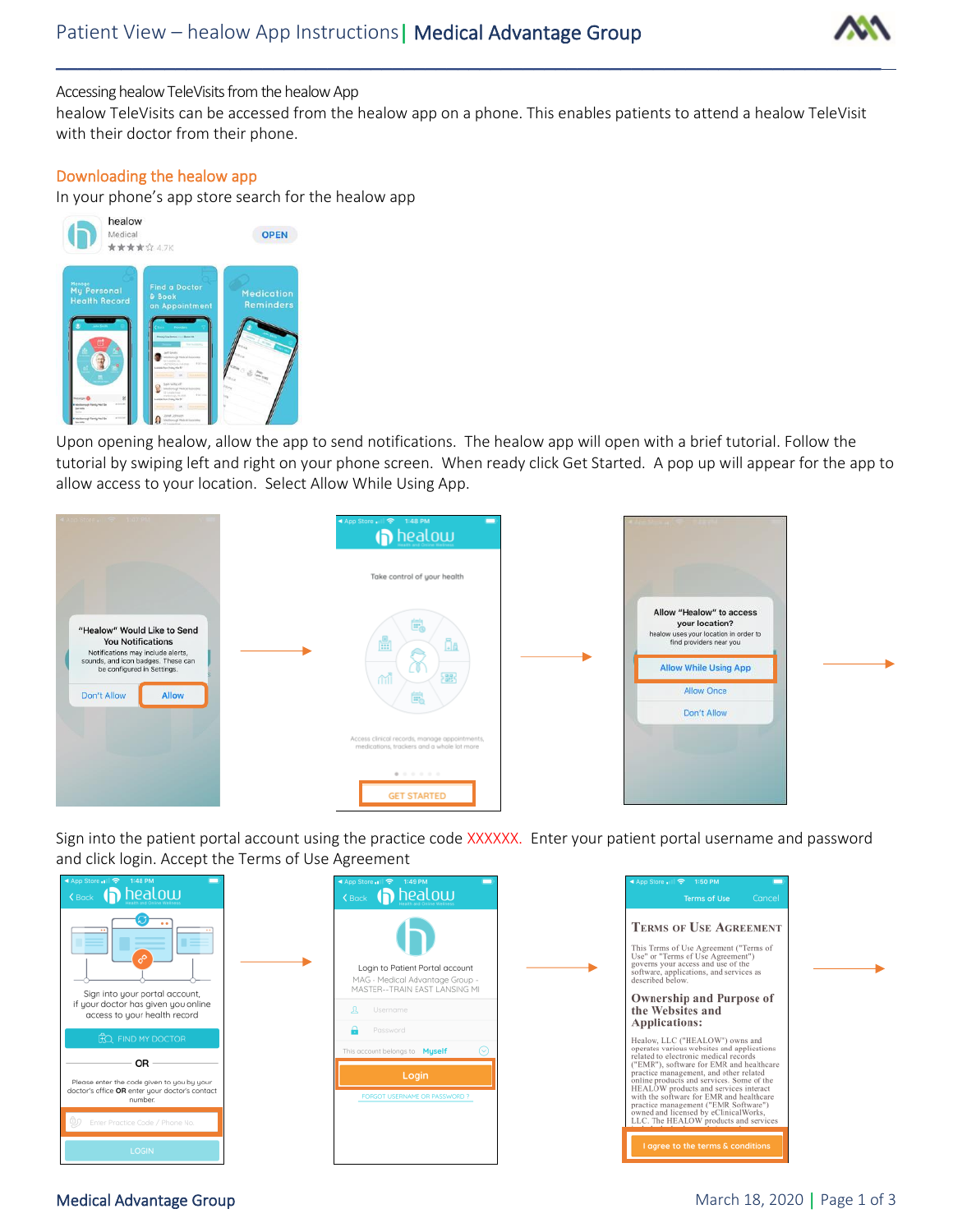

## Accessing healow TeleVisits from the healow App

healow TeleVisits can be accessed from the healow app on a phone. This enables patients to attend a healow TeleVisit with their doctor from their phone.

\_\_\_\_\_\_\_\_\_\_\_\_\_\_\_\_\_\_\_\_\_\_\_\_\_\_\_\_\_\_\_\_\_\_\_\_\_\_\_\_\_\_\_\_\_\_\_\_\_\_\_\_\_\_\_\_\_\_\_\_\_\_\_\_\_\_\_\_\_\_\_\_\_\_\_\_

## Downloading the healow app

In your phone's app store search for the healow app



Upon opening healow, allow the app to send notifications. The healow app will open with a brief tutorial. Follow the tutorial by swiping left and right on your phone screen. When ready click Get Started. A pop up will appear for the app to allow access to your location. Select Allow While Using App.



Sign into the patient portal account using the practice code XXXXXX. Enter your patient portal username and password and click login. Accept the Terms of Use Agreement

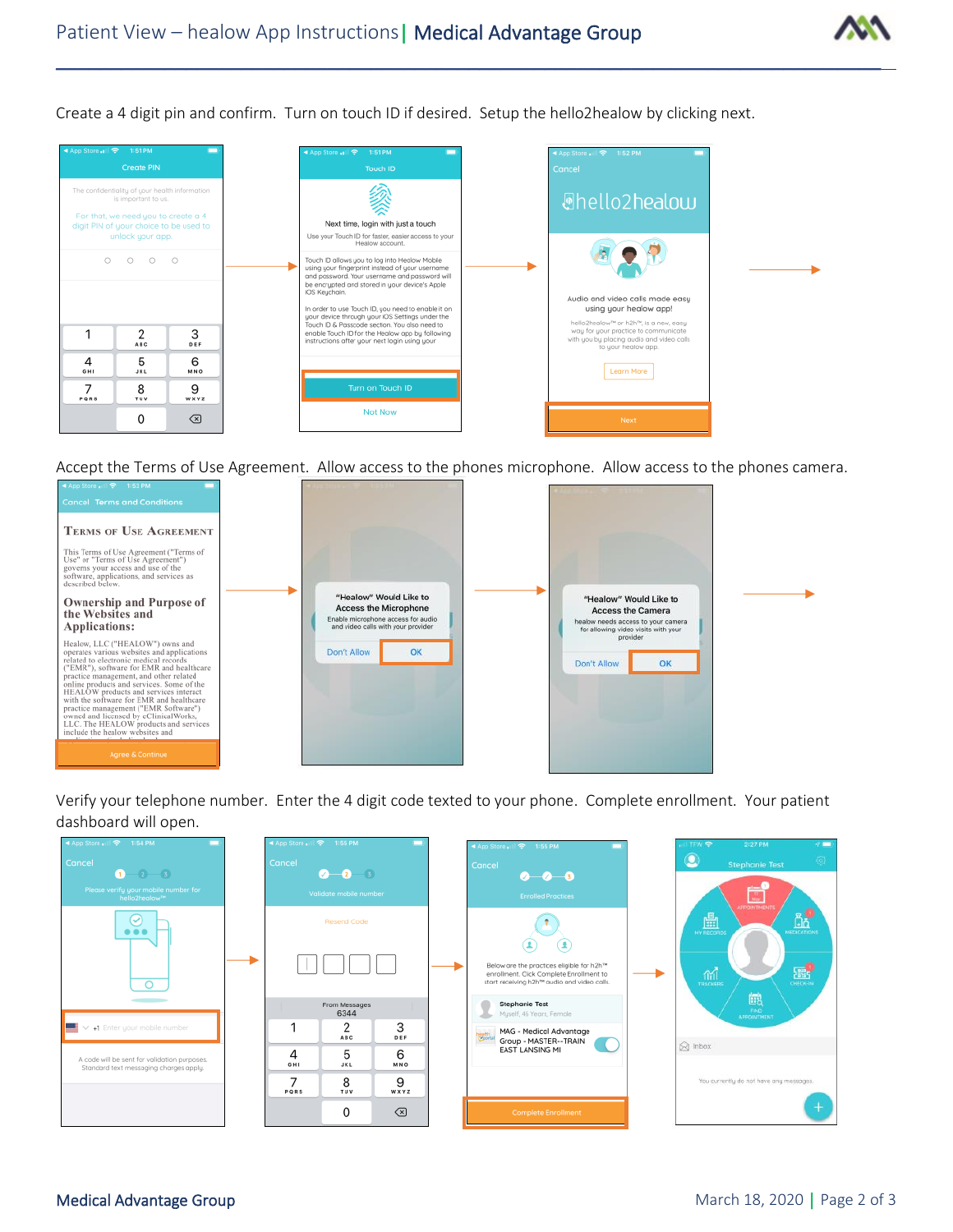

Create a 4 digit pin and confirm. Turn on touch ID if desired. Setup the hello2healow by clicking next.



Accept the Terms of Use Agreement. Allow access to the phones microphone. Allow access to the phones camera.



Verify your telephone number. Enter the 4 digit code texted to your phone. Complete enrollment. Your patient dashboard will open.